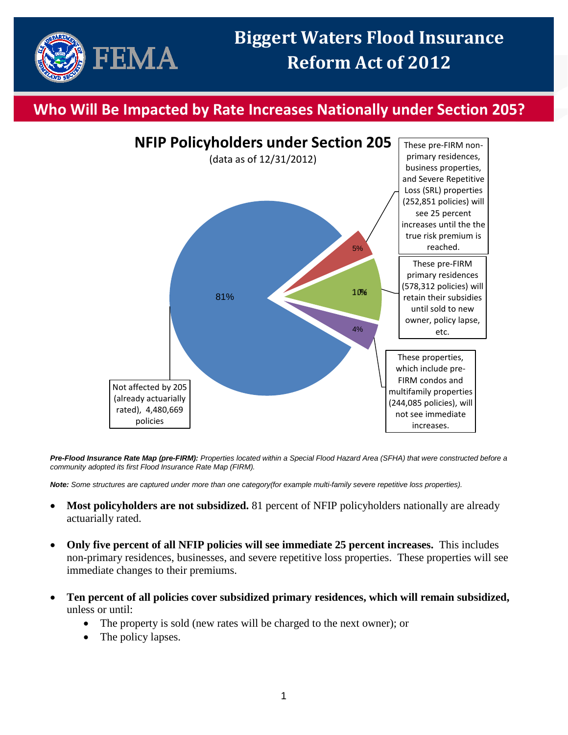

## **Who Will Be Impacted by Rate Increases Nationally under Section 205?**



*Pre-Flood Insurance Rate Map (pre-FIRM): Properties located within a Special Flood Hazard Area (SFHA) that were constructed before a community adopted its first Flood Insurance Rate Map (FIRM).*

*Note: Some structures are captured under more than one category(for example multi-family severe repetitive loss properties).*

- **Most policyholders are not subsidized.** 81 percent of NFIP policyholders nationally are already actuarially rated.
- **Only five percent of all NFIP policies will see immediate 25 percent increases.** This includes non-primary residences, businesses, and severe repetitive loss properties. These properties will see immediate changes to their premiums.
- **Ten percent of all policies cover subsidized primary residences, which will remain subsidized,** unless or until:
	- The property is sold (new rates will be charged to the next owner); or
	- The policy lapses.